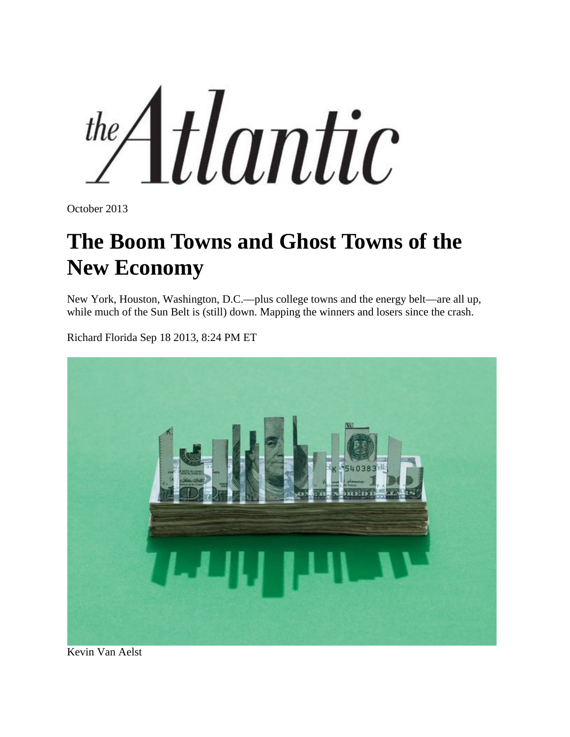the Atlantic

[October 2013](http://www.theatlantic.com/magazine/toc/2013/10/)

## **The Boom Towns and Ghost Towns of the New Economy**

New York, Houston, Washington, D.C.—plus college towns and the energy belt—are all up, while much of the Sun Belt is (still) down. Mapping the winners and losers since the crash.

[Richard Florida](http://www.theatlantic.com/richard-florida/) Sep 18 2013, 8:24 PM ET



Kevin Van Aelst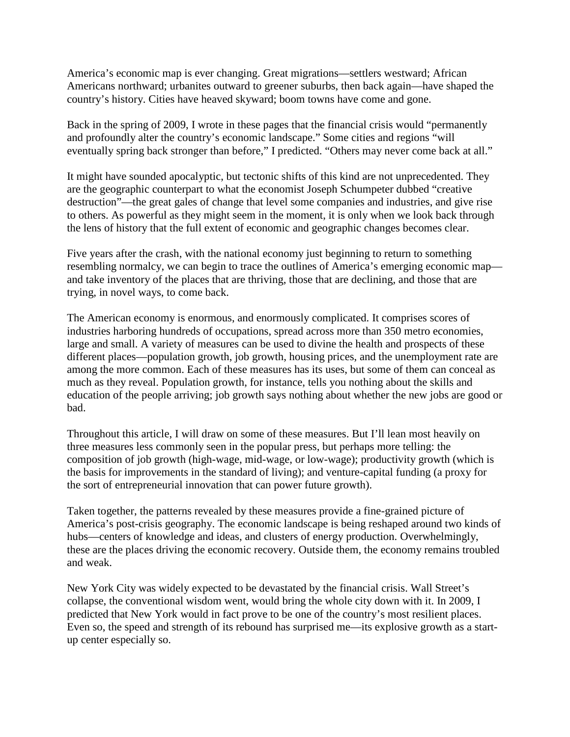America's economic map is ever changing. Great migrations—settlers westward; African Americans northward; urbanites outward to greener suburbs, then back again—have shaped the country's history. Cities have heaved skyward; boom towns have come and gone.

Back in the spring of 2009, I wrote in these pages that the financial crisis would "permanently and profoundly alter the country's economic landscape." Some cities and regions "will eventually spring back stronger than before," I predicted. "Others may never come back at all."

It might have sounded apocalyptic, but tectonic shifts of this kind are not unprecedented. They are the geographic counterpart to what the economist Joseph Schumpeter dubbed "creative destruction"—the great gales of change that level some companies and industries, and give rise to others. As powerful as they might seem in the moment, it is only when we look back through the lens of history that the full extent of economic and geographic changes becomes clear.

Five years after the crash, with the national economy just beginning to return to something resembling normalcy, we can begin to trace the outlines of America's emerging economic map and take inventory of the places that are thriving, those that are declining, and those that are trying, in novel ways, to come back.

The American economy is enormous, and enormously complicated. It comprises scores of industries harboring hundreds of occupations, spread across more than 350 metro economies, large and small. A variety of measures can be used to divine the health and prospects of these different places—population growth, job growth, housing prices, and the unemployment rate are among the more common. Each of these measures has its uses, but some of them can conceal as much as they reveal. Population growth, for instance, tells you nothing about the skills and education of the people arriving; job growth says nothing about whether the new jobs are good or bad.

Throughout this article, I will draw on some of these measures. But I'll lean most heavily on three measures less commonly seen in the popular press, but perhaps more telling: the composition of job growth (high-wage, mid-wage, or low-wage); productivity growth (which is the basis for improvements in the standard of living); and venture-capital funding (a proxy for the sort of entrepreneurial innovation that can power future growth).

Taken together, the patterns revealed by these measures provide a fine-grained picture of America's post-crisis geography. The economic landscape is being reshaped around two kinds of hubs—centers of knowledge and ideas, and clusters of energy production. Overwhelmingly, these are the places driving the economic recovery. Outside them, the economy remains troubled and weak.

New York City was widely expected to be devastated by the financial crisis. Wall Street's collapse, the conventional wisdom went, would bring the whole city down with it. In 2009, I predicted that New York would in fact prove to be one of the country's most resilient places. Even so, the speed and strength of its rebound has surprised me—its explosive growth as a startup center especially so.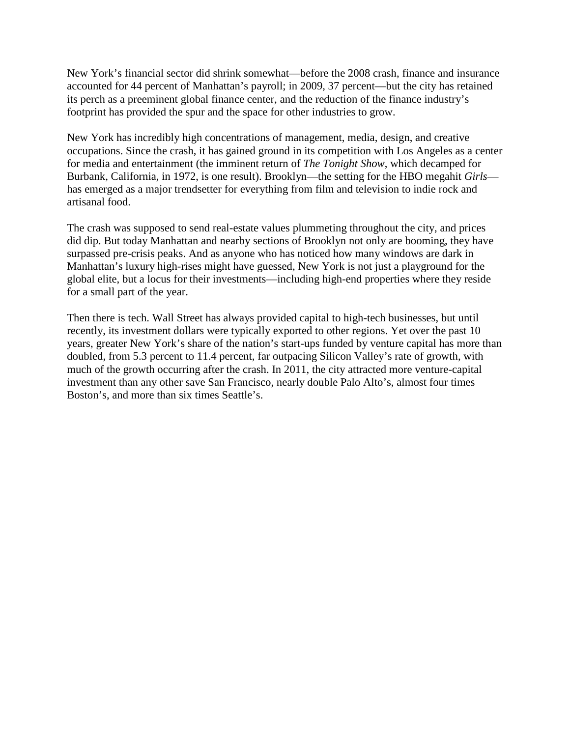New York's financial sector did shrink somewhat—before the 2008 crash, finance and insurance accounted for 44 percent of Manhattan's payroll; in 2009, 37 percent—but the city has retained its perch as a preeminent global finance center, and the reduction of the finance industry's footprint has provided the spur and the space for other industries to grow.

New York has incredibly high concentrations of management, media, design, and creative occupations. Since the crash, it has gained ground in its competition with Los Angeles as a center for media and entertainment (the imminent return of *The Tonight Show*, which decamped for Burbank, California, in 1972, is one result). Brooklyn—the setting for the HBO megahit *Girls* has emerged as a major trendsetter for everything from film and television to indie rock and artisanal food.

The crash was supposed to send real-estate values plummeting throughout the city, and prices did dip. But today Manhattan and nearby sections of Brooklyn not only are booming, they have surpassed pre-crisis peaks. And as anyone who has noticed how many windows are dark in Manhattan's luxury high-rises might have guessed, New York is not just a playground for the global elite, but a locus for their investments—including high-end properties where they reside for a small part of the year.

Then there is tech. Wall Street has always provided capital to high-tech businesses, but until recently, its investment dollars were typically exported to other regions. Yet over the past 10 years, greater New York's share of the nation's start-ups funded by venture capital has more than doubled, from 5.3 percent to 11.4 percent, far outpacing Silicon Valley's rate of growth, with much of the growth occurring after the crash. In 2011, the city attracted more venture-capital investment than any other save San Francisco, nearly double Palo Alto's, almost four times Boston's, and more than six times Seattle's.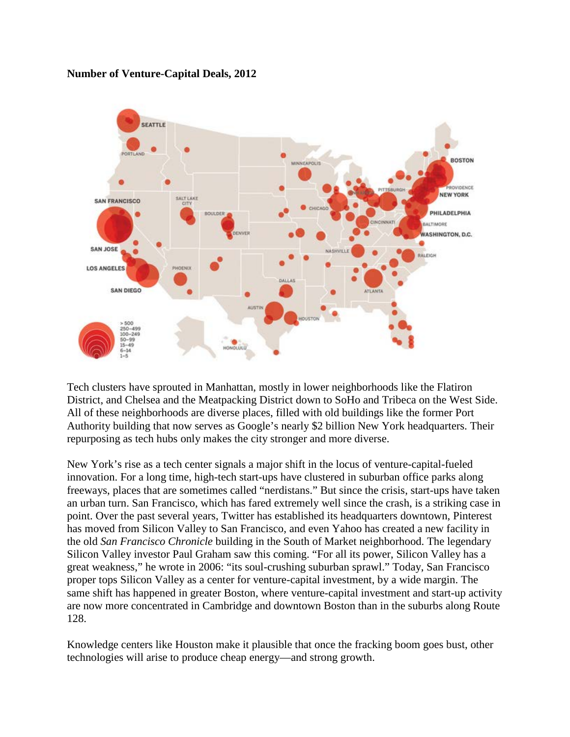## **Number of Venture-Capital Deals, 2012**



Tech clusters have sprouted in Manhattan, mostly in lower neighborhoods like the Flatiron District, and Chelsea and the Meatpacking District down to SoHo and Tribeca on the West Side. All of these neighborhoods are diverse places, filled with old buildings like the former Port Authority building that now serves as Google's nearly \$2 billion New York headquarters. Their repurposing as tech hubs only makes the city stronger and more diverse.

New York's rise as a tech center signals a major shift in the locus of venture-capital-fueled innovation. For a long time, high-tech start-ups have clustered in suburban office parks along freeways, places that are sometimes called "nerdistans." But since the crisis, start-ups have taken an urban turn. San Francisco, which has fared extremely well since the crash, is a striking case in point. Over the past several years, Twitter has established its headquarters downtown, Pinterest has moved from Silicon Valley to San Francisco, and even Yahoo has created a new facility in the old *San Francisco Chronicle* building in the South of Market neighborhood. The legendary Silicon Valley investor Paul Graham saw this coming. "For all its power, Silicon Valley has a great weakness," he wrote in 2006: "its soul-crushing suburban sprawl." Today, San Francisco proper tops Silicon Valley as a center for venture-capital investment, by a wide margin. The same shift has happened in greater Boston, where venture-capital investment and start-up activity are now more concentrated in Cambridge and downtown Boston than in the suburbs along Route 128.

Knowledge centers like Houston make it plausible that once the fracking boom goes bust, other technologies will arise to produce cheap energy—and strong growth.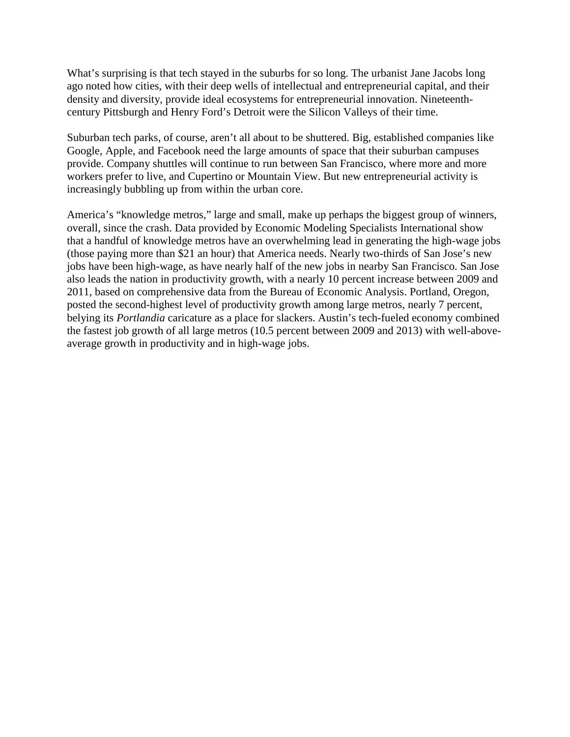What's surprising is that tech stayed in the suburbs for so long. The urbanist Jane Jacobs long ago noted how cities, with their deep wells of intellectual and entrepreneurial capital, and their density and diversity, provide ideal ecosystems for entrepreneurial innovation. Nineteenthcentury Pittsburgh and Henry Ford's Detroit were the Silicon Valleys of their time.

Suburban tech parks, of course, aren't all about to be shuttered. Big, established companies like Google, Apple, and Facebook need the large amounts of space that their suburban campuses provide. Company shuttles will continue to run between San Francisco, where more and more workers prefer to live, and Cupertino or Mountain View. But new entrepreneurial activity is increasingly bubbling up from within the urban core.

America's "knowledge metros," large and small, make up perhaps the biggest group of winners, overall, since the crash. Data provided by Economic Modeling Specialists International show that a handful of knowledge metros have an overwhelming lead in generating the high-wage jobs (those paying more than \$21 an hour) that America needs. Nearly two-thirds of San Jose's new jobs have been high-wage, as have nearly half of the new jobs in nearby San Francisco. San Jose also leads the nation in productivity growth, with a nearly 10 percent increase between 2009 and 2011, based on comprehensive data from the Bureau of Economic Analysis. Portland, Oregon, posted the second-highest level of productivity growth among large metros, nearly 7 percent, belying its *Portlandia* caricature as a place for slackers. Austin's tech-fueled economy combined the fastest job growth of all large metros (10.5 percent between 2009 and 2013) with well-aboveaverage growth in productivity and in high-wage jobs.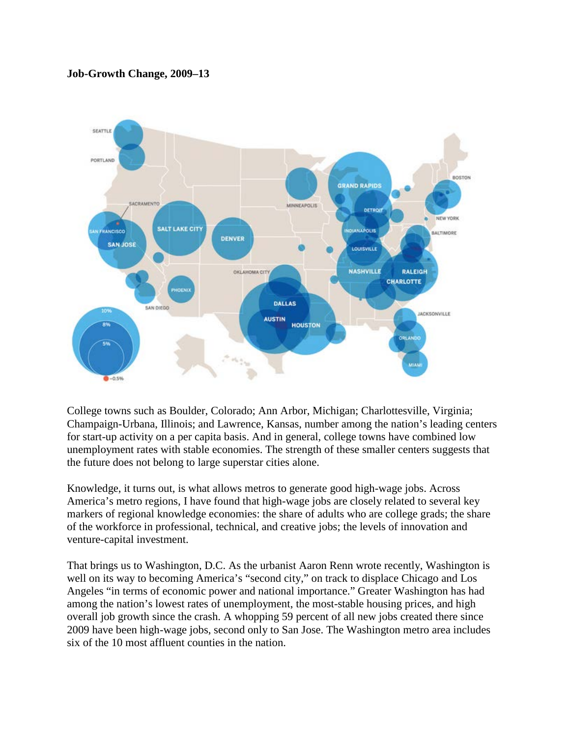## **Job-Growth Change, 2009–13**



College towns such as Boulder, Colorado; Ann Arbor, Michigan; Charlottesville, Virginia; Champaign-Urbana, Illinois; and Lawrence, Kansas, number among the nation's leading centers for start-up activity on a per capita basis. And in general, college towns have combined low unemployment rates with stable economies. The strength of these smaller centers suggests that the future does not belong to large superstar cities alone.

Knowledge, it turns out, is what allows metros to generate good high-wage jobs. Across America's metro regions, I have found that high-wage jobs are closely related to several key markers of regional knowledge economies: the share of adults who are college grads; the share of the workforce in professional, technical, and creative jobs; the levels of innovation and venture-capital investment.

That brings us to Washington, D.C. As the urbanist Aaron Renn wrote recently, Washington is well on its way to becoming America's "second city," on track to displace Chicago and Los Angeles "in terms of economic power and national importance." Greater Washington has had among the nation's lowest rates of unemployment, the most-stable housing prices, and high overall job growth since the crash. A whopping 59 percent of all new jobs created there since 2009 have been high-wage jobs, second only to San Jose. The Washington metro area includes six of the 10 most affluent counties in the nation.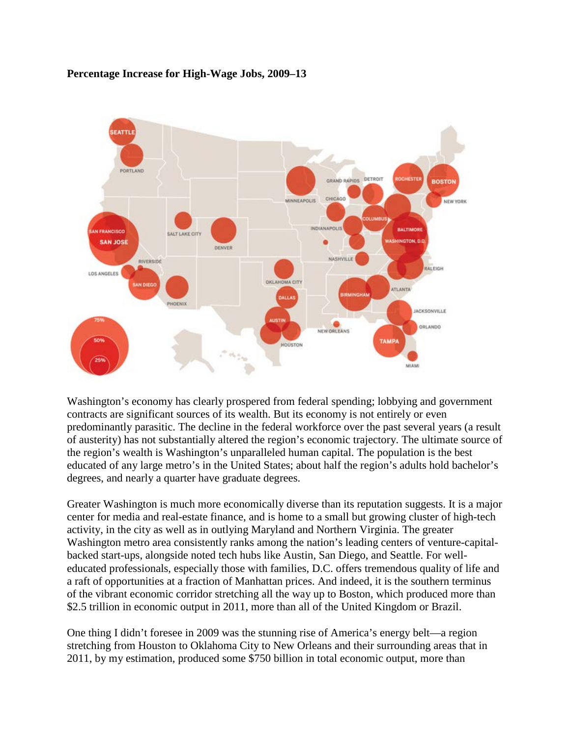



Washington's economy has clearly prospered from federal spending; lobbying and government contracts are significant sources of its wealth. But its economy is not entirely or even predominantly parasitic. The decline in the federal workforce over the past several years (a result of austerity) has not substantially altered the region's economic trajectory. The ultimate source of the region's wealth is Washington's unparalleled human capital. The population is the best educated of any large metro's in the United States; about half the region's adults hold bachelor's degrees, and nearly a quarter have graduate degrees.

Greater Washington is much more economically diverse than its reputation suggests. It is a major center for media and real-estate finance, and is home to a small but growing cluster of high-tech activity, in the city as well as in outlying Maryland and Northern Virginia. The greater Washington metro area consistently ranks among the nation's leading centers of venture-capitalbacked start-ups, alongside noted tech hubs like Austin, San Diego, and Seattle. For welleducated professionals, especially those with families, D.C. offers tremendous quality of life and a raft of opportunities at a fraction of Manhattan prices. And indeed, it is the southern terminus of the vibrant economic corridor stretching all the way up to Boston, which produced more than \$2.5 trillion in economic output in 2011, more than all of the United Kingdom or Brazil.

One thing I didn't foresee in 2009 was the stunning rise of America's energy belt—a region stretching from Houston to Oklahoma City to New Orleans and their surrounding areas that in 2011, by my estimation, produced some \$750 billion in total economic output, more than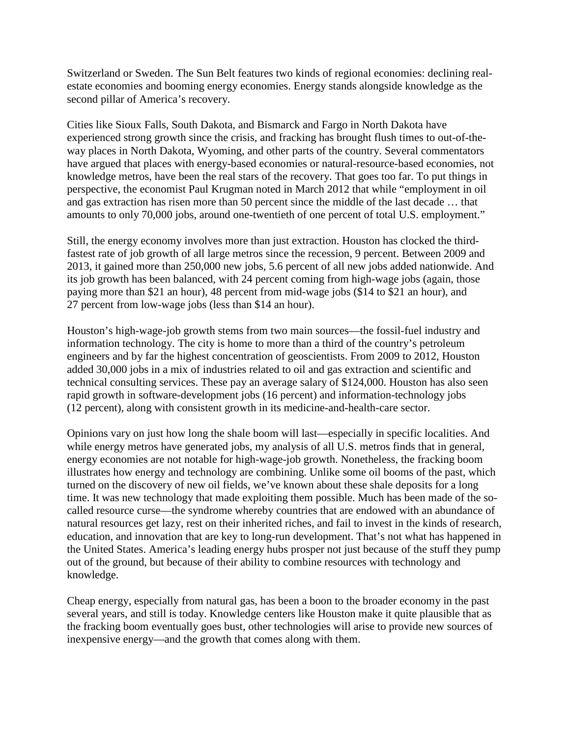Switzerland or Sweden. The Sun Belt features two kinds of regional economies: declining realestate economies and booming energy economies. Energy stands alongside knowledge as the second pillar of America's recovery.

Cities like Sioux Falls, South Dakota, and Bismarck and Fargo in North Dakota have experienced strong growth since the crisis, and fracking has brought flush times to out-of-theway places in North Dakota, Wyoming, and other parts of the country. Several commentators have argued that places with energy-based economies or natural-resource-based economies, not knowledge metros, have been the real stars of the recovery. That goes too far. To put things in perspective, the economist Paul Krugman noted in March 2012 that while "employment in oil and gas extraction has risen more than 50 percent since the middle of the last decade … that amounts to only 70,000 jobs, around one-twentieth of one percent of total U.S. employment."

Still, the energy economy involves more than just extraction. Houston has clocked the thirdfastest rate of job growth of all large metros since the recession, 9 percent. Between 2009 and 2013, it gained more than 250,000 new jobs, 5.6 percent of all new jobs added nationwide. And its job growth has been balanced, with 24 percent coming from high-wage jobs (again, those paying more than \$21 an hour), 48 percent from mid-wage jobs (\$14 to \$21 an hour), and 27 percent from low-wage jobs (less than \$14 an hour).

Houston's high-wage-job growth stems from two main sources—the fossil-fuel industry and information technology. The city is home to more than a third of the country's petroleum engineers and by far the highest concentration of geoscientists. From 2009 to 2012, Houston added 30,000 jobs in a mix of industries related to oil and gas extraction and scientific and technical consulting services. These pay an average salary of \$124,000. Houston has also seen rapid growth in software-development jobs (16 percent) and information-technology jobs (12 percent), along with consistent growth in its medicine-and-health-care sector.

Opinions vary on just how long the shale boom will last—especially in specific localities. And while energy metros have generated jobs, my analysis of all U.S. metros finds that in general, energy economies are not notable for high-wage-job growth. Nonetheless, the fracking boom illustrates how energy and technology are combining. Unlike some oil booms of the past, which turned on the discovery of new oil fields, we've known about these shale deposits for a long time. It was new technology that made exploiting them possible. Much has been made of the socalled resource curse—the syndrome whereby countries that are endowed with an abundance of natural resources get lazy, rest on their inherited riches, and fail to invest in the kinds of research, education, and innovation that are key to long-run development. That's not what has happened in the United States. America's leading energy hubs prosper not just because of the stuff they pump out of the ground, but because of their ability to combine resources with technology and knowledge.

Cheap energy, especially from natural gas, has been a boon to the broader economy in the past several years, and still is today. Knowledge centers like Houston make it quite plausible that as the fracking boom eventually goes bust, other technologies will arise to provide new sources of inexpensive energy—and the growth that comes along with them.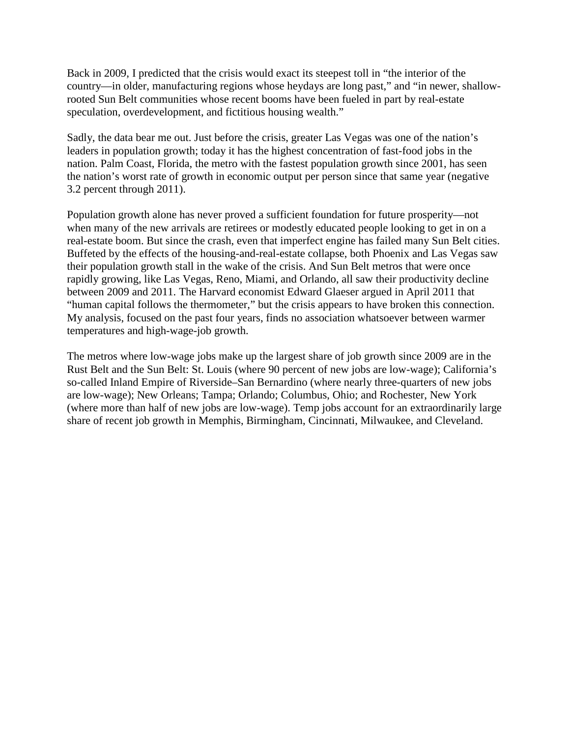Back in 2009, I predicted that the crisis would exact its steepest toll in "the interior of the country—in older, manufacturing regions whose heydays are long past," and "in newer, shallowrooted Sun Belt communities whose recent booms have been fueled in part by real-estate speculation, overdevelopment, and fictitious housing wealth."

Sadly, the data bear me out. Just before the crisis, greater Las Vegas was one of the nation's leaders in population growth; today it has the highest concentration of fast-food jobs in the nation. Palm Coast, Florida, the metro with the fastest population growth since 2001, has seen the nation's worst rate of growth in economic output per person since that same year (negative 3.2 percent through 2011).

Population growth alone has never proved a sufficient foundation for future prosperity—not when many of the new arrivals are retirees or modestly educated people looking to get in on a real-estate boom. But since the crash, even that imperfect engine has failed many Sun Belt cities. Buffeted by the effects of the housing-and-real-estate collapse, both Phoenix and Las Vegas saw their population growth stall in the wake of the crisis. And Sun Belt metros that were once rapidly growing, like Las Vegas, Reno, Miami, and Orlando, all saw their productivity decline between 2009 and 2011. The Harvard economist Edward Glaeser argued in April 2011 that "human capital follows the thermometer," but the crisis appears to have broken this connection. My analysis, focused on the past four years, finds no association whatsoever between warmer temperatures and high-wage-job growth.

The metros where low-wage jobs make up the largest share of job growth since 2009 are in the Rust Belt and the Sun Belt: St. Louis (where 90 percent of new jobs are low-wage); California's so-called Inland Empire of Riverside–San Bernardino (where nearly three-quarters of new jobs are low-wage); New Orleans; Tampa; Orlando; Columbus, Ohio; and Rochester, New York (where more than half of new jobs are low-wage). Temp jobs account for an extraordinarily large share of recent job growth in Memphis, Birmingham, Cincinnati, Milwaukee, and Cleveland.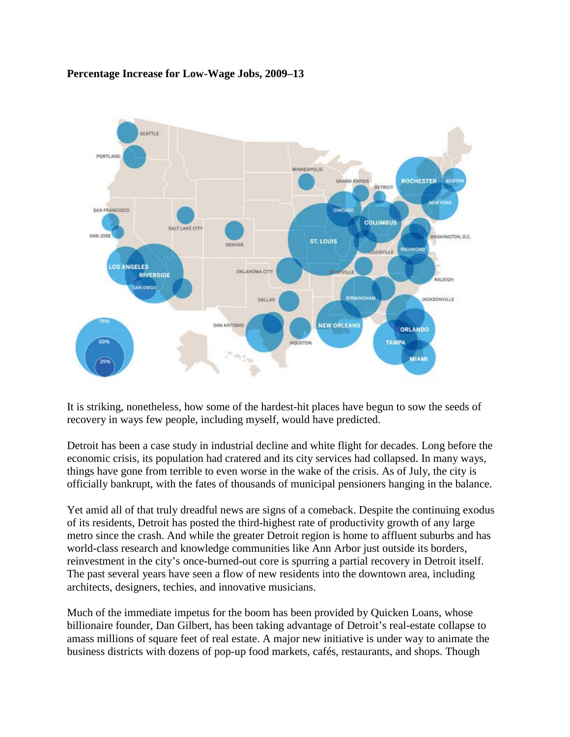## **Percentage Increase for Low-Wage Jobs, 2009–13**



It is striking, nonetheless, how some of the hardest-hit places have begun to sow the seeds of recovery in ways few people, including myself, would have predicted.

Detroit has been a case study in industrial decline and white flight for decades. Long before the economic crisis, its population had cratered and its city services had collapsed. In many ways, things have gone from terrible to even worse in the wake of the crisis. As of July, the city is officially bankrupt, with the fates of thousands of municipal pensioners hanging in the balance.

Yet amid all of that truly dreadful news are signs of a comeback. Despite the continuing exodus of its residents, Detroit has posted the third-highest rate of productivity growth of any large metro since the crash. And while the greater Detroit region is home to affluent suburbs and has world-class research and knowledge communities like Ann Arbor just outside its borders, reinvestment in the city's once-burned-out core is spurring a partial recovery in Detroit itself. The past several years have seen a flow of new residents into the downtown area, including architects, designers, techies, and innovative musicians.

Much of the immediate impetus for the boom has been provided by Quicken Loans, whose billionaire founder, Dan Gilbert, has been taking advantage of Detroit's real-estate collapse to amass millions of square feet of real estate. A major new initiative is under way to animate the business districts with dozens of pop-up food markets, cafés, restaurants, and shops. Though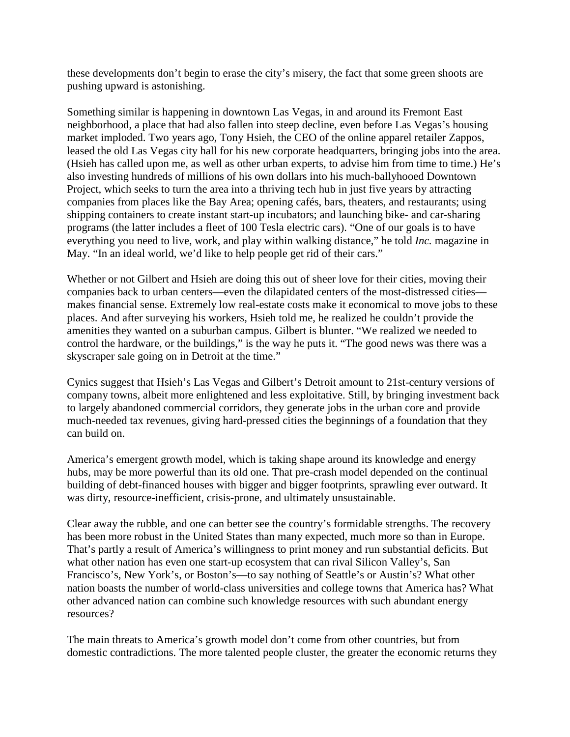these developments don't begin to erase the city's misery, the fact that some green shoots are pushing upward is astonishing.

Something similar is happening in downtown Las Vegas, in and around its Fremont East neighborhood, a place that had also fallen into steep decline, even before Las Vegas's housing market imploded. Two years ago, Tony Hsieh, the CEO of the online apparel retailer Zappos, leased the old Las Vegas city hall for his new corporate headquarters, bringing jobs into the area. (Hsieh has called upon me, as well as other urban experts, to advise him from time to time.) He's also investing hundreds of millions of his own dollars into his much-ballyhooed Downtown Project, which seeks to turn the area into a thriving tech hub in just five years by attracting companies from places like the Bay Area; opening cafés, bars, theaters, and restaurants; using shipping containers to create instant start-up incubators; and launching bike- and car-sharing programs (the latter includes a fleet of 100 Tesla electric cars). "One of our goals is to have everything you need to live, work, and play within walking distance," he told *Inc.* magazine in May. "In an ideal world, we'd like to help people get rid of their cars."

Whether or not Gilbert and Hsieh are doing this out of sheer love for their cities, moving their companies back to urban centers—even the dilapidated centers of the most-distressed cities makes financial sense. Extremely low real-estate costs make it economical to move jobs to these places. And after surveying his workers, Hsieh told me, he realized he couldn't provide the amenities they wanted on a suburban campus. Gilbert is blunter. "We realized we needed to control the hardware, or the buildings," is the way he puts it. "The good news was there was a skyscraper sale going on in Detroit at the time."

Cynics suggest that Hsieh's Las Vegas and Gilbert's Detroit amount to 21st-century versions of company towns, albeit more enlightened and less exploitative. Still, by bringing investment back to largely abandoned commercial corridors, they generate jobs in the urban core and provide much-needed tax revenues, giving hard-pressed cities the beginnings of a foundation that they can build on.

America's emergent growth model, which is taking shape around its knowledge and energy hubs, may be more powerful than its old one. That pre-crash model depended on the continual building of debt-financed houses with bigger and bigger footprints, sprawling ever outward. It was dirty, resource-inefficient, crisis-prone, and ultimately unsustainable.

Clear away the rubble, and one can better see the country's formidable strengths. The recovery has been more robust in the United States than many expected, much more so than in Europe. That's partly a result of America's willingness to print money and run substantial deficits. But what other nation has even one start-up ecosystem that can rival Silicon Valley's, San Francisco's, New York's, or Boston's—to say nothing of Seattle's or Austin's? What other nation boasts the number of world-class universities and college towns that America has? What other advanced nation can combine such knowledge resources with such abundant energy resources?

The main threats to America's growth model don't come from other countries, but from domestic contradictions. The more talented people cluster, the greater the economic returns they